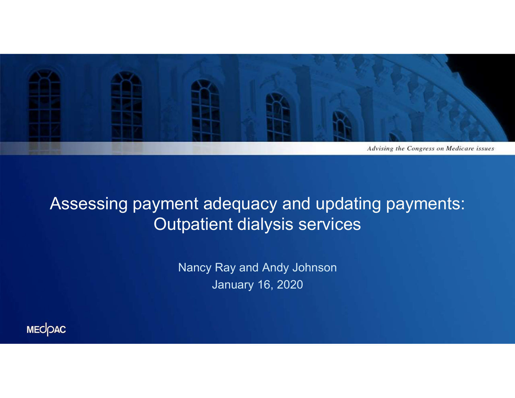

Assessing payment adequacy and updating payments: Outpatient dialysis services

Nancy Ray and Andy Johnson January 16, 2020

MECOAC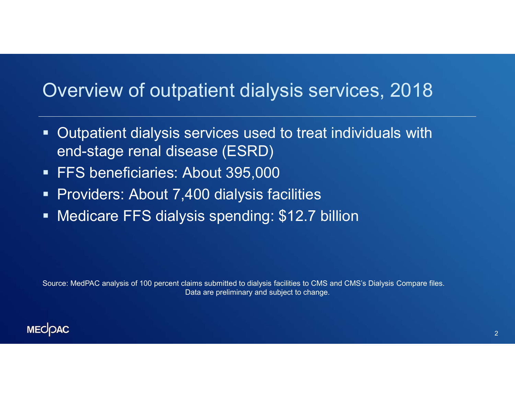#### Overview of outpatient dialysis services, 2018

- Outpatient dialysis services used to treat individuals with end-stage renal disease (ESRD)
- **FFS beneficiaries: About 395,000**
- **Providers: About 7,400 dialysis facilities**
- **Medicare FFS dialysis spending: \$12.7 billion**

Source: MedPAC analysis of 100 percent claims submitted to dialysis facilities to CMS and CMS's Dialysis Compare files. Data are preliminary and subject to change.

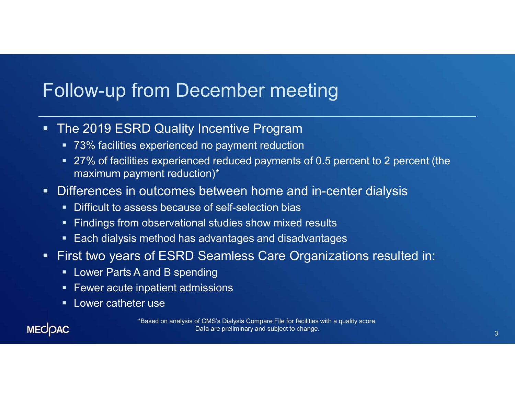## Follow-up from December meeting

- **The 2019 ESRD Quality Incentive Program** 
	- 73% facilities experienced no payment reduction
	- 27% of facilities experienced reduced payments of 0.5 percent to 2 percent (the maximum payment reduction)\*
- **Differences in outcomes between home and in-center dialysis** 
	- **Difficult to assess because of self-selection bias**
	- **Findings from observational studies show mixed results**
	- **Each dialysis method has advantages and disadvantages**
- First two years of ESRD Seamless Care Organizations resulted in:
	- **E.** Lower Parts A and B spending
	- **Fewer acute inpatient admissions**
	- **Lower catheter use**

**MECOAC** 

\*Based on analysis of CMS's Dialysis Compare File for facilities with a quality score. Data are preliminary and subject to change. And the control of the control of the control of the control of the control of the control of the control of the control of the control of the control of the control of the contr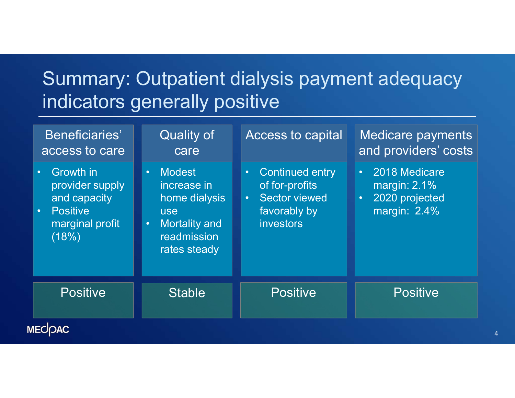## Summary: Outpatient dialysis payment adequacy indicators generally positive

| Summary: Outpatient dialysis payment adequacy<br>indicators generally positive                                          |                                                                                                                                                |                                                                                                                                |                                                                                                  |  |
|-------------------------------------------------------------------------------------------------------------------------|------------------------------------------------------------------------------------------------------------------------------------------------|--------------------------------------------------------------------------------------------------------------------------------|--------------------------------------------------------------------------------------------------|--|
| Beneficiaries'<br>access to care                                                                                        | <b>Quality of</b><br>care                                                                                                                      | Access to capital                                                                                                              | Medicare payments<br>and providers' costs                                                        |  |
| Growth in<br>$\bullet$ .<br>provider supply<br>and capacity<br><b>Positive</b><br>$\bullet$<br>marginal profit<br>(18%) | <b>Modest</b><br>$\bullet$ .<br>increase in<br>home dialysis<br><b>use</b><br><b>Mortality and</b><br>$\bullet$<br>readmission<br>rates steady | <b>Continued entry</b><br>$\bullet$<br>of for-profits<br><b>Sector viewed</b><br>$\bullet$<br>favorably by<br><i>investors</i> | 2018 Medicare<br>$\bullet$ .<br>margin: $2.1\%$<br>2020 projected<br>$\bullet$ .<br>margin: 2.4% |  |
| <b>Positive</b>                                                                                                         | <b>Stable</b>                                                                                                                                  | <b>Positive</b>                                                                                                                | <b>Positive</b>                                                                                  |  |
| <b><i>IECOAC</i></b>                                                                                                    |                                                                                                                                                |                                                                                                                                |                                                                                                  |  |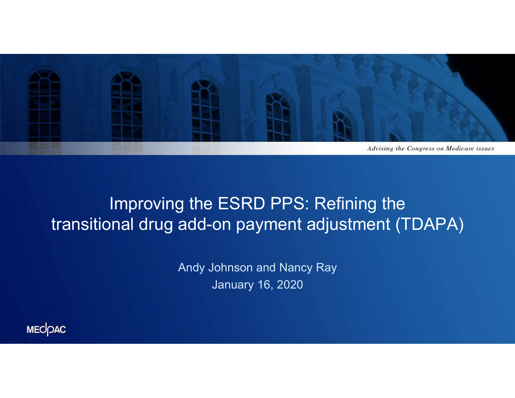

#### Improving the ESRD PPS: Refining the transitional drug add-on payment adjustment (TDAPA)

Andy Johnson and Nancy Ray January 16, 2020

MECOAC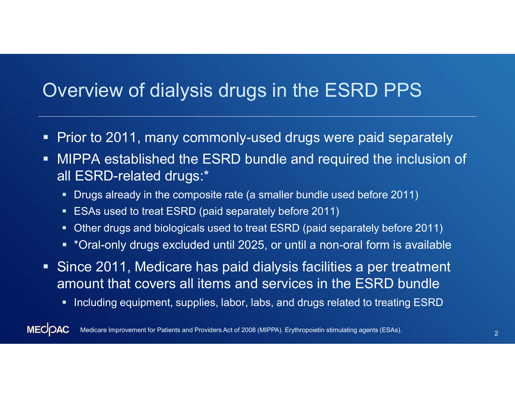#### Overview of dialysis drugs in the ESRD PPS

- **Prior to 2011, many commonly-used drugs were paid separately**
- MIPPA established the ESRD bundle and required the inclusion of all ESRD-related drugs:\*
	- Drugs already in the composite rate (a smaller bundle used before 2011)
	- **ESAs used to treat ESRD (paid separately before 2011)**
	- Other drugs and biologicals used to treat ESRD (paid separately before 2011)
	- \*Oral-only drugs excluded until 2025, or until a non-oral form is available
- Since 2011, Medicare has paid dialysis facilities a per treatment amount that covers all items and services in the ESRD bundle
	- **Including equipment, supplies, labor, labs, and drugs related to treating ESRD**

**MECOAC** <sup>2</sup> Medicare Improvement for Patients and Providers Act of 2008 (MIPPA). Erythropoietin stimulating agents (ESAs).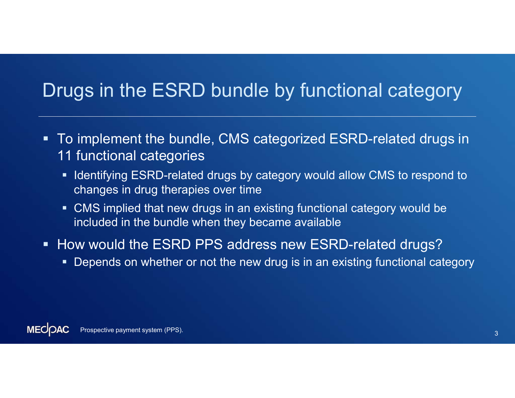## Drugs in the ESRD bundle by functional category

- To implement the bundle, CMS categorized ESRD-related drugs in 11 functional categories
	- **If Identifying ESRD-related drugs by category would allow CMS to respond to** changes in drug therapies over time
	- CMS implied that new drugs in an existing functional category would be included in the bundle when they became available
- **How would the ESRD PPS address new ESRD-related drugs?** 
	- **Depends on whether or not the new drug is in an existing functional category**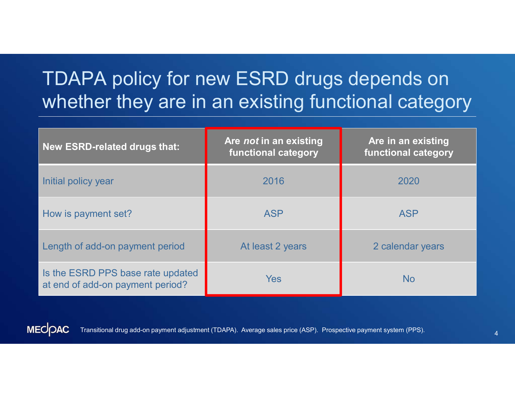## TDAPA policy for new ESRD drugs depends on whether they are in an existing functional category

| TDAPA policy for new ESRD drugs depends on                            |                                               |                                           |  |  |
|-----------------------------------------------------------------------|-----------------------------------------------|-------------------------------------------|--|--|
| whether they are in an existing functional category                   |                                               |                                           |  |  |
| <b>New ESRD-related drugs that:</b>                                   | Are not in an existing<br>functional category | Are in an existing<br>functional category |  |  |
| Initial policy year                                                   | 2016                                          | 2020                                      |  |  |
| How is payment set?                                                   | <b>ASP</b>                                    | <b>ASP</b>                                |  |  |
| Length of add-on payment period                                       | At least 2 years                              | 2 calendar years                          |  |  |
| Is the ESRD PPS base rate updated<br>at end of add-on payment period? | Yes                                           | <b>No</b>                                 |  |  |



Transitional drug add-on payment adjustment (TDAPA). Average sales price (ASP). Prospective payment system (PPS).  $\overline{a}$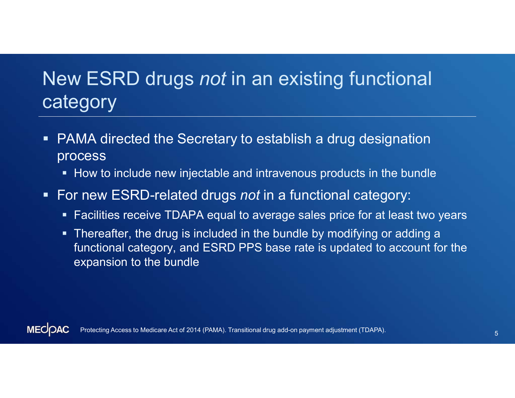## New ESRD drugs not in an existing functional category

- PAMA directed the Secretary to establish a drug designation process
	- How to include new injectable and intravenous products in the bundle
- For new ESRD-related drugs not in a functional category:
	- **Facilities receive TDAPA equal to average sales price for at least two years**
	- Thereafter, the drug is included in the bundle by modifying or adding a functional category, and ESRD PPS base rate is updated to account for the expansion to the bundle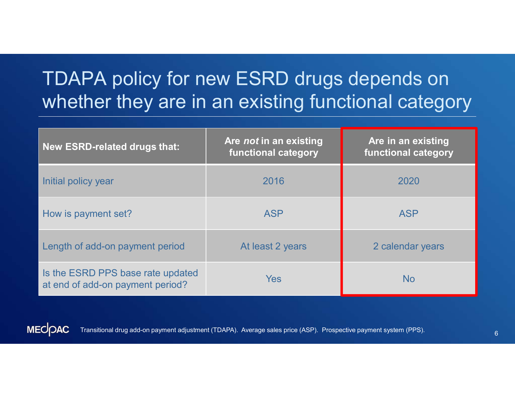# TDAPA policy for new ESRD drugs depends on whether they are in an existing functional category

| TDAPA policy for new ESRD drugs depends on<br>whether they are in an existing functional category |                                           |  |  |
|---------------------------------------------------------------------------------------------------|-------------------------------------------|--|--|
| Are not in an existing<br>functional category                                                     | Are in an existing<br>functional category |  |  |
| 2016                                                                                              | 2020                                      |  |  |
| <b>ASP</b>                                                                                        | <b>ASP</b>                                |  |  |
| At least 2 years                                                                                  | 2 calendar years                          |  |  |
| <b>Yes</b>                                                                                        | <b>No</b>                                 |  |  |
|                                                                                                   |                                           |  |  |



Transitional drug add-on payment adjustment (TDAPA). Average sales price (ASP). Prospective payment system (PPS).  $\overline{6}$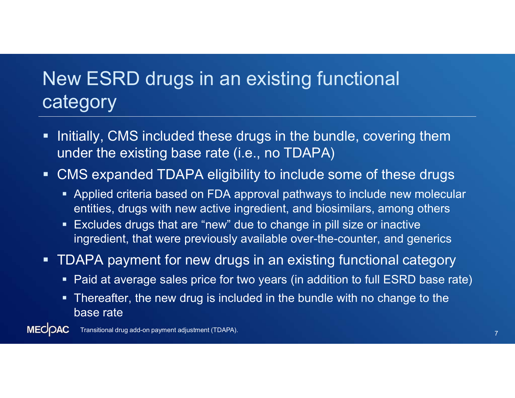# New ESRD drugs in an existing functional **category**

- **Initially, CMS included these drugs in the bundle, covering them** under the existing base rate (i.e., no TDAPA)
- CMS expanded TDAPA eligibility to include some of these drugs
	- Applied criteria based on FDA approval pathways to include new molecular entities, drugs with new active ingredient, and biosimilars, among others
	- **Excludes drugs that are "new" due to change in pill size or inactive** ingredient, that were previously available over-the-counter, and generics
- TDAPA payment for new drugs in an existing functional category
	- Paid at average sales price for two years (in addition to full ESRD base rate)
	- Thereafter, the new drug is included in the bundle with no change to the base rate

**MECOAC** <sup>7</sup> Transitional drug add-on payment adjustment (TDAPA).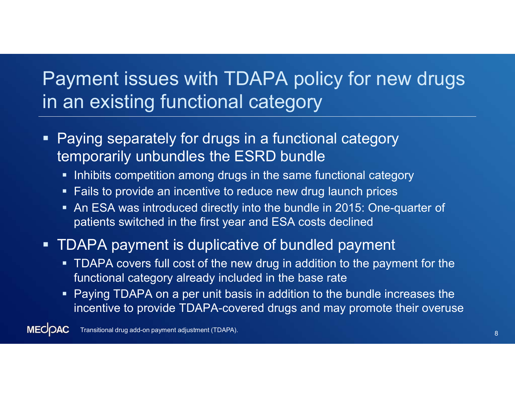## Payment issues with TDAPA policy for new drugs in an existing functional category

- **Paying separately for drugs in a functional category** temporarily unbundles the ESRD bundle
	- **Inhibits competition among drugs in the same functional category**
	- **Fails to provide an incentive to reduce new drug launch prices**
	- An ESA was introduced directly into the bundle in 2015: One-quarter of patients switched in the first year and ESA costs declined
- **TDAPA payment is duplicative of bundled payment** 
	- TDAPA covers full cost of the new drug in addition to the payment for the functional category already included in the base rate
	- **Paying TDAPA on a per unit basis in addition to the bundle increases the** incentive to provide TDAPA-covered drugs and may promote their overuse

**MECOAC** Transitional drug add-on payment adjustment (TDAPA). The contraction of the contraction of the contraction of  $\sim 8$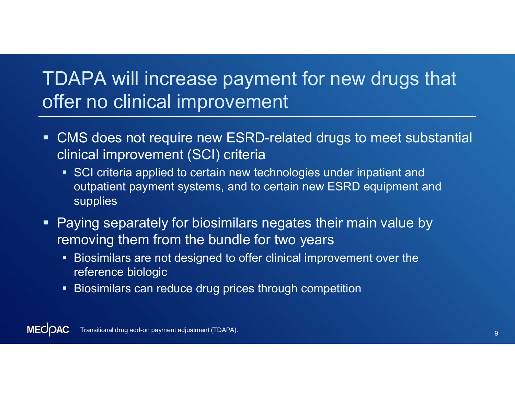## TDAPA will increase payment for new drugs that offer no clinical improvement

- CMS does not require new ESRD-related drugs to meet substantial clinical improvement (SCI) criteria
	- **SCI criteria applied to certain new technologies under inpatient and** outpatient payment systems, and to certain new ESRD equipment and supplies
- Paying separately for biosimilars negates their main value by removing them from the bundle for two years
	- Biosimilars are not designed to offer clinical improvement over the reference biologic
	- Biosimilars can reduce drug prices through competition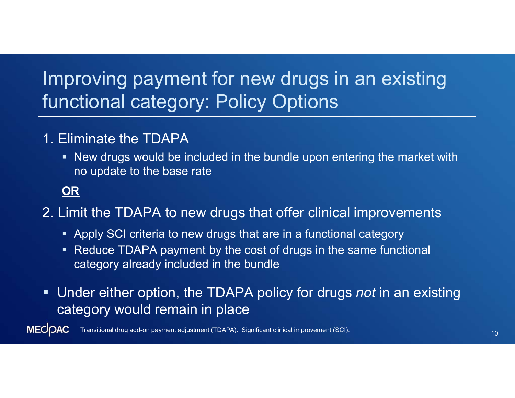## Improving payment for new drugs in an existing functional category: Policy Options

#### 1. Eliminate the TDAPA

 New drugs would be included in the bundle upon entering the market with no update to the base rate

#### OR

2. Limit the TDAPA to new drugs that offer clinical improvements

- Apply SCI criteria to new drugs that are in a functional category
- Reduce TDAPA payment by the cost of drugs in the same functional category already included in the bundle
- **Under either option, the TDAPA policy for drugs not in an existing** category would remain in place

**MECOAC** <sup>10</sup> Transitional drug add-on payment adjustment (TDAPA). Significant clinical improvement (SCI).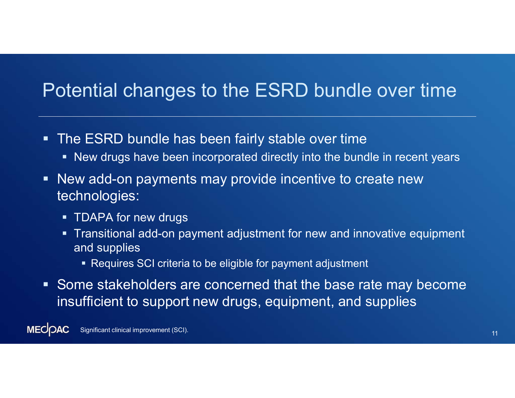### Potential changes to the ESRD bundle over time

- The ESRD bundle has been fairly stable over time
	- New drugs have been incorporated directly into the bundle in recent years
- New add-on payments may provide incentive to create new technologies:
	- **TDAPA for new drugs**
	- Transitional add-on payment adjustment for new and innovative equipment and supplies
		- Requires SCI criteria to be eligible for payment adjustment
- Some stakeholders are concerned that the base rate may become insufficient to support new drugs, equipment, and supplies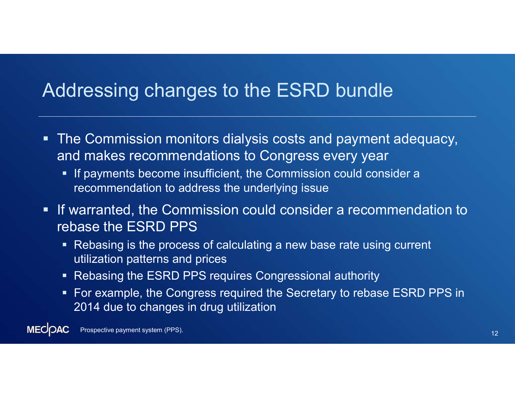### Addressing changes to the ESRD bundle

- The Commission monitors dialysis costs and payment adequacy, and makes recommendations to Congress every year
	- **If payments become insufficient, the Commission could consider a** recommendation to address the underlying issue
- **If warranted, the Commission could consider a recommendation to** rebase the ESRD PPS
	- Rebasing is the process of calculating a new base rate using current utilization patterns and prices
	- Rebasing the ESRD PPS requires Congressional authority
	- **For example, the Congress required the Secretary to rebase ESRD PPS in** 2014 due to changes in drug utilization

**MECOAC Prospective payment system (PPS).** The contract of the contract of the contract of the contract of the contract of the contract of the contract of the contract of the contract of the contract of the contract of the contra